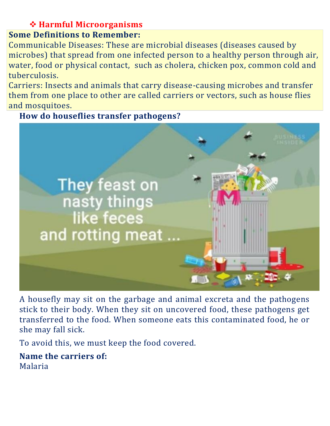## **Harmful Microorganisms**

## **Some Definitions to Remember:**

Communicable Diseases: These are microbial diseases (diseases caused by microbes) that spread from one infected person to a healthy person through air, water, food or physical contact, such as cholera, chicken pox, common cold and tuberculosis.

Carriers: Insects and animals that carry disease-causing microbes and transfer them from one place to other are called carriers or vectors, such as house flies and mosquitoes.

**How do houseflies transfer pathogens?**



A housefly may sit on the garbage and animal excreta and the pathogens stick to their body. When they sit on uncovered food, these pathogens get transferred to the food. When someone eats this contaminated food, he or she may fall sick.

To avoid this, we must keep the food covered.

**Name the carriers of:** Malaria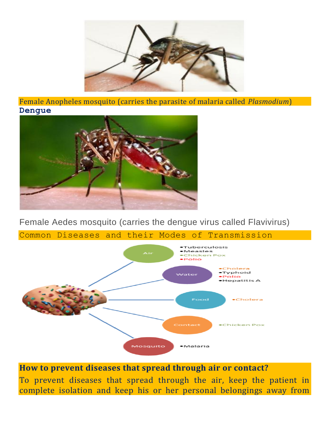

Female Anopheles mosquito (carries the parasite of malaria called *Plasmodium*) **Dengue**



Female Aedes mosquito (carries the dengue virus called Flavivirus)

Common Diseases and their Modes of Transmission



**How to prevent diseases that spread through air or contact?**

To prevent diseases that spread through the air, keep the patient in complete isolation and keep his or her personal belongings away from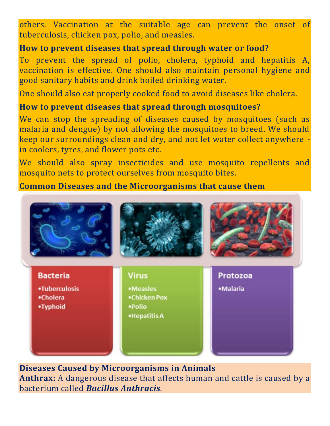others. Vaccination at the suitable age can prevent the onset of tuberculosis, chicken pox, polio, and measles.

## **How to prevent diseases that spread through water or food?**

To prevent the spread of polio, cholera, typhoid and hepatitis A, vaccination is effective. One should also maintain personal hygiene and good sanitary habits and drink boiled drinking water.

One should also eat properly cooked food to avoid diseases like cholera.

## **How to prevent diseases that spread through mosquitoes?**

We can stop the spreading of diseases caused by mosquitoes (such as malaria and dengue) by not allowing the mosquitoes to breed. We should keep our surroundings clean and dry, and not let water collect anywhere in coolers, tyres, and flower pots etc.

We should also spray insecticides and use mosquito repellents and mosquito nets to protect ourselves from mosquito bites.

**Common Diseases and the Microorganisms that cause them**



**Diseases Caused by Microorganisms in Animals Anthrax:** A dangerous disease that affects human and cattle is caused by a bacterium called *Bacillus Anthracis.*